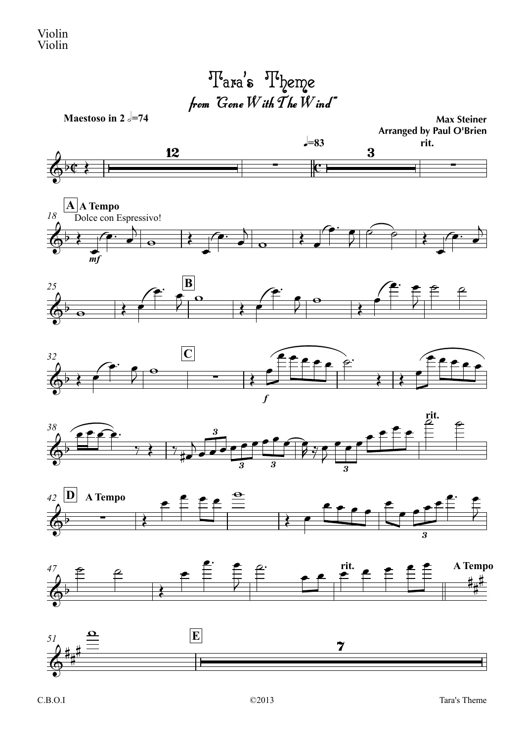from  $"G$ one  $W$ ith  $\overline{T}$ he  $W$ ind" ' $\mathbf{s}\phantom{0}^{\text{up}}$  Theme